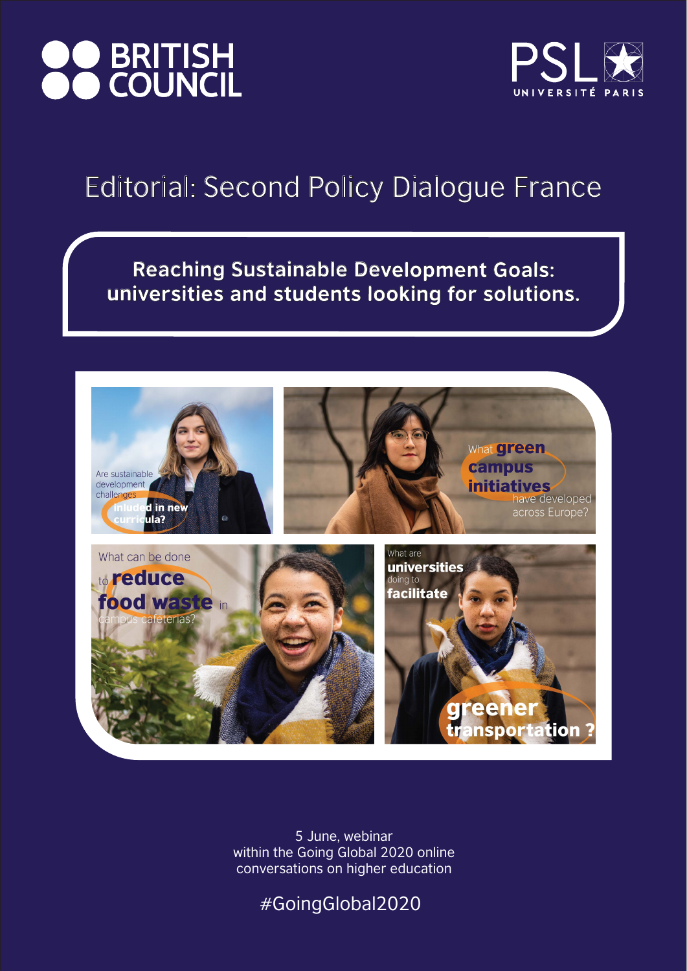Reaching Sustainable Development Goals: universities and students looking for solutions.







5 June, webinar within the Going Global 2020 online conversations on higher education

# **OO BRITISH<br>COUNCIL**



### Editorial: Second Policy Dialogue France

#GoingGlobal2020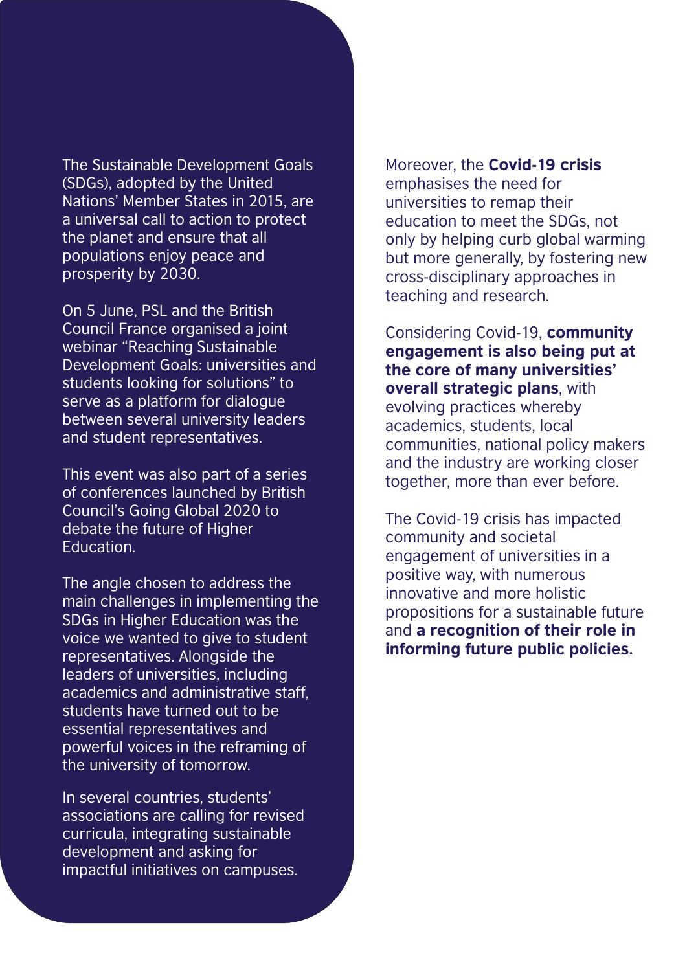The Sustainable Development Goals (SDGs), adopted by the United Nations' Member States in 2015, are a universal call to action to protect the planet and ensure that all populations enjoy peace and prosperity by 2030.

On 5 June, PSL and the British

Council France organised a joint webinar "Reaching Sustainable Development Goals: universities and students looking for solutions" to serve as a platform for dialogue between several university leaders and student representatives.

This event was also part of a series of conferences launched by British Council's Going Global 2020 to debate the future of Higher Education.

The angle chosen to address the main challenges in implementing the SDGs in Higher Education was the voice we wanted to give to student representatives. Alongside the leaders of universities, including academics and administrative staff, students have turned out to be essential representatives and powerful voices in the reframing of the university of tomorrow.

Moreover, the Covid-19 crisis emphasises the need for universities to remap their education to meet the SDGs, not only by helping curb global warming but more generally, by fostering new cross-disciplinary approaches in teaching and research.

Considering Covid-19, community engagement is also being put at the core of many universities' overall strategic plans, with evolving practices whereby academics, students, local communities, national policy makers and the industry are working closer together, more than ever before.

The Covid-19 crisis has impacted community and societal engagement of universities in a positive way, with numerous innovative and more holistic propositions for a sustainable future and a recognition of their role in

#### informing future public policies.

In several countries, students' associations are calling for revised curricula, integrating sustainable development and asking for impactful initiatives on campuses.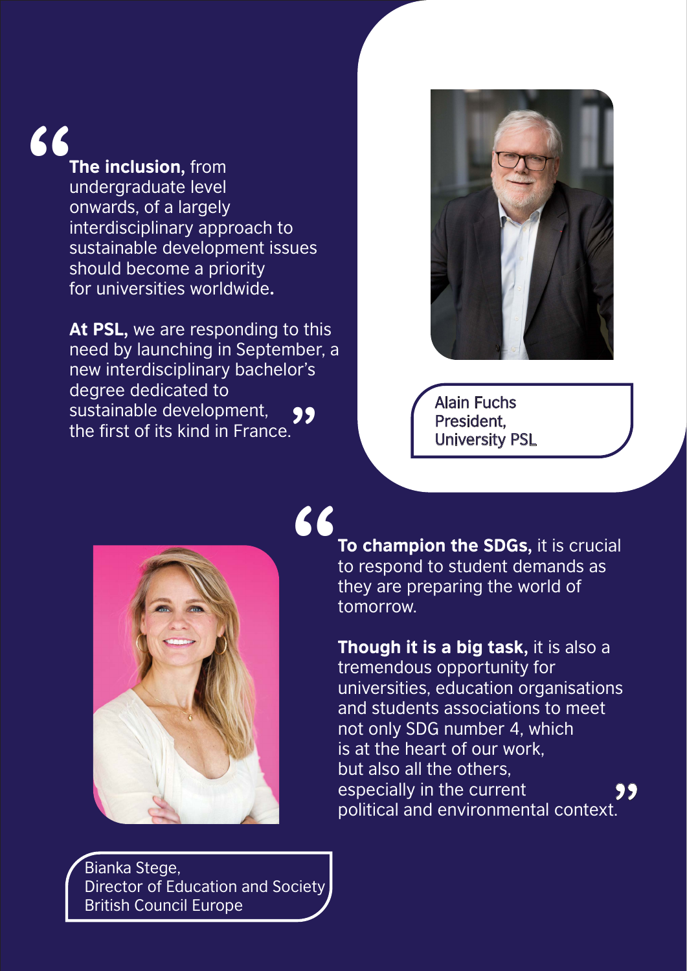99<br>" Alain Fuchs<br>" President,<br>" University F President, University PSL



To champion the SDGs, it is crucial to respond to student demands as they are preparing the world of tomorrow. 66

#### The inclusion, from undergraduate level onwards, of a largely interdisciplinary approach to sustainable development issues should become a priority for universities worldwide. 66



At PSL, we are responding to this need by launching in September, a new interdisciplinary bachelor's degree dedicated to sustainable development, the first of its kind in France.

> Though it is a big task, it is also a tremendous opportunity for universities, education organisations and students associations to meet not only SDG number 4, which is at the heart of our work, but also all the others, especially in the current political and environmental context. **99**<br>..

Bianka Stege, Director of Education and Society British Council Europe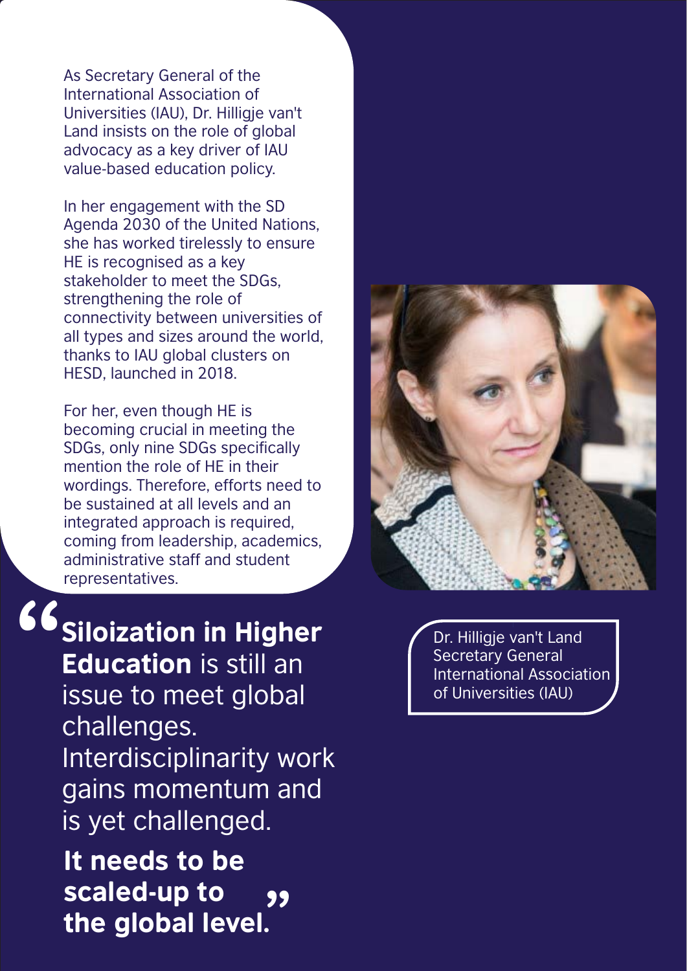As Secretary General of the International Association of Universities (IAU), Dr. Hilligje van't Land insists on the role of global advocacy as a key driver of IAU value-based education policy.

In her engagement with the SD Agenda 2030 of the United Nations, she has worked tirelessly to ensure HE is recognised as a key stakeholder to meet the SDGs, strengthening the role of connectivity between universities of all types and sizes around the world, thanks to IAU global clusters on HESD, launched in 2018.



Dr. Hilligje van't Land Secretary General International Association of Universities (IAU)

## 66 Siloization in Higher

**99** Education is still an issue to meet global challenges. Interdisciplinarity work gains momentum and is yet challenged. It needs to be scaled-up to the global level.

For her, even though HE is becoming crucial in meeting the SDGs, only nine SDGs specifically mention the role of HE in their wordings. Therefore, efforts need to be sustained at all levels and an integrated approach is required, coming from leadership, academics, administrative staff and student representatives.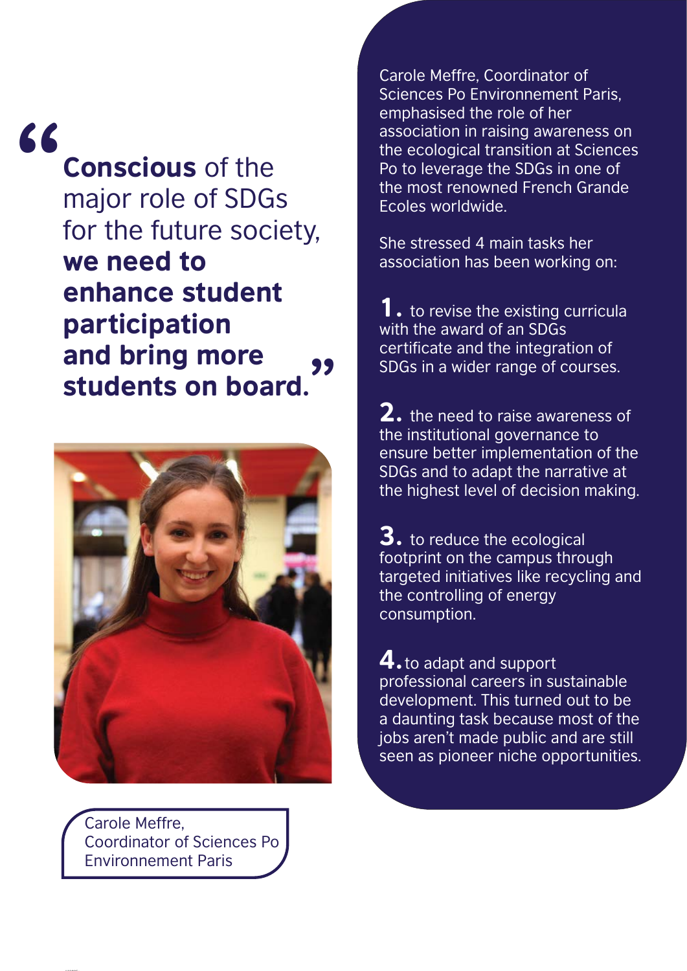Carole Meffre, Coordinator of Sciences Po Environnement Paris

 $... \sim 200$ 

Carole Meffre, Coordinator of Sciences Po Environnement Paris, emphasised the role of her association in raising awareness on the ecological transition at Sciences Po to leverage the SDGs in one of the most renowned French Grande Ecoles worldwide.

to revise the existing curricula with the award of an SDGs certificate and the integration of SDGs in a wider range of courses.

2. the need to raise awareness of the institutional governance to ensure better implementation of the SDGs and to adapt the narrative at the highest level of decision making.

She stressed 4 main tasks her association has been working on:

3. to reduce the ecological footprint on the campus through targeted initiatives like recycling and the controlling of energy consumption.

Conscious of the major role of SDGs for the future society, we need to enhance student 66

#### participation and bring more students on board. **99**



4.to adapt and support professional careers in sustainable development. This turned out to be a daunting task because most of the jobs aren't made public and are still seen as pioneer niche opportunities.